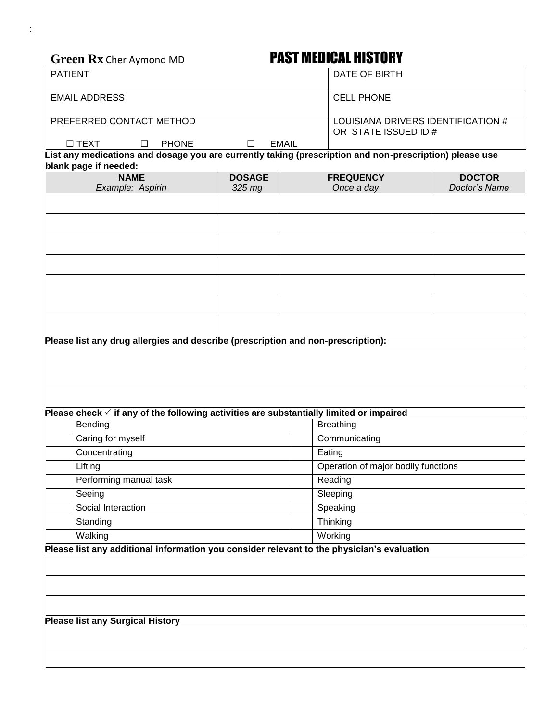# Green Rx Cher Aymond MD **PAST MEDICAL HISTORY**

|       | DATE OF BIRTH                                              |
|-------|------------------------------------------------------------|
|       | <b>CELL PHONE</b>                                          |
|       | LOUISIANA DRIVERS IDENTIFICATION #<br>OR STATE ISSUED ID # |
| EMAIL | .<br>.                                                     |
|       | .                                                          |

**List any medications and dosage you are currently taking (prescription and non-prescription) please use blank page if needed:**

| <b>NAME</b><br>Example: Aspirin | <b>DOSAGE</b><br>325 mg | <b>FREQUENCY</b><br>Once a day | <b>DOCTOR</b><br>Doctor's Name |  |
|---------------------------------|-------------------------|--------------------------------|--------------------------------|--|
|                                 |                         |                                |                                |  |
|                                 |                         |                                |                                |  |
|                                 |                         |                                |                                |  |
|                                 |                         |                                |                                |  |
|                                 |                         |                                |                                |  |
|                                 |                         |                                |                                |  |
|                                 |                         |                                |                                |  |

**Please list any drug allergies and describe (prescription and non-prescription):**

## **Please check**  $\checkmark$  **if any of the following activities are substantially limited or impaired**

| Bending                | <b>Breathing</b>                    |
|------------------------|-------------------------------------|
| Caring for myself      | Communicating                       |
| Concentrating          | Eating                              |
| Lifting                | Operation of major bodily functions |
| Performing manual task | Reading                             |
| Seeing                 | Sleeping                            |
| Social Interaction     | Speaking                            |
| Standing               | Thinking                            |
| Walking                | Working                             |

**Please list any additional information you consider relevant to the physician's evaluation**

### **Please list any Surgical History**

: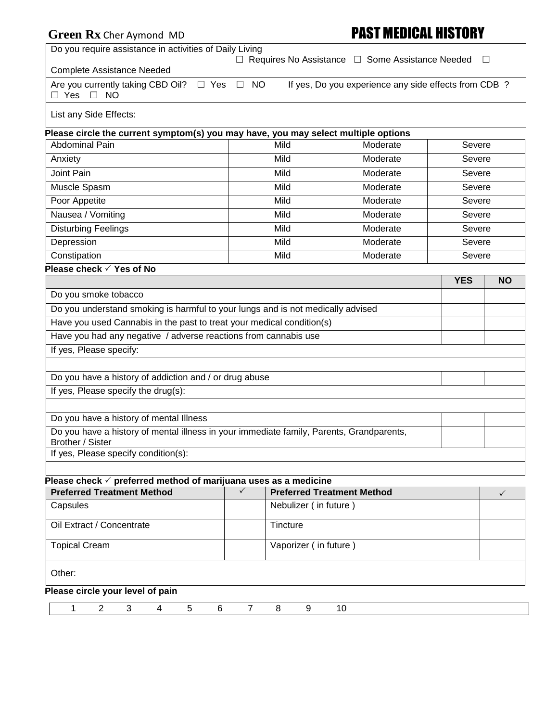| Green Rx Cher Aymond MD                                                                                      | <b>PAST MEDICAL HISTORY</b> |                                   |                                                             |            |              |
|--------------------------------------------------------------------------------------------------------------|-----------------------------|-----------------------------------|-------------------------------------------------------------|------------|--------------|
| Do you require assistance in activities of Daily Living                                                      |                             |                                   |                                                             |            |              |
| <b>Complete Assistance Needed</b>                                                                            |                             |                                   | $\Box$ Requires No Assistance $\Box$ Some Assistance Needed |            | $\Box$       |
| Are you currently taking CBD Oil? □ Yes<br>$\Box$ Yes $\Box$ NO                                              | $\Box$ NO                   |                                   | If yes, Do you experience any side effects from CDB ?       |            |              |
| List any Side Effects:                                                                                       |                             |                                   |                                                             |            |              |
| Please circle the current symptom(s) you may have, you may select multiple options                           |                             |                                   |                                                             |            |              |
| <b>Abdominal Pain</b>                                                                                        |                             | Mild                              | Moderate                                                    | Severe     |              |
| Anxiety                                                                                                      |                             | Mild                              | Moderate                                                    | Severe     |              |
| Joint Pain                                                                                                   |                             | Mild                              | Moderate                                                    | Severe     |              |
| Muscle Spasm                                                                                                 |                             | Mild                              | Moderate                                                    | Severe     |              |
| Poor Appetite                                                                                                |                             | Mild                              | Moderate                                                    | Severe     |              |
| Nausea / Vomiting                                                                                            |                             | Mild                              | Moderate                                                    | Severe     |              |
| <b>Disturbing Feelings</b>                                                                                   |                             | Mild                              | Moderate                                                    | Severe     |              |
| Depression                                                                                                   |                             | Mild                              | Moderate                                                    | Severe     |              |
| Constipation                                                                                                 |                             | Mild                              | Moderate                                                    | Severe     |              |
| Please check √ Yes of No                                                                                     |                             |                                   |                                                             |            |              |
|                                                                                                              |                             |                                   |                                                             | <b>YES</b> | <b>NO</b>    |
| Do you smoke tobacco                                                                                         |                             |                                   |                                                             |            |              |
| Do you understand smoking is harmful to your lungs and is not medically advised                              |                             |                                   |                                                             |            |              |
| Have you used Cannabis in the past to treat your medical condition(s)                                        |                             |                                   |                                                             |            |              |
| Have you had any negative / adverse reactions from cannabis use                                              |                             |                                   |                                                             |            |              |
| If yes, Please specify:                                                                                      |                             |                                   |                                                             |            |              |
| Do you have a history of addiction and / or drug abuse                                                       |                             |                                   |                                                             |            |              |
| If yes, Please specify the drug(s):                                                                          |                             |                                   |                                                             |            |              |
| Do you have a history of mental Illness                                                                      |                             |                                   |                                                             |            |              |
| Do you have a history of mental illness in your immediate family, Parents, Grandparents,<br>Brother / Sister |                             |                                   |                                                             |            |              |
| If yes, Please specify condition(s):                                                                         |                             |                                   |                                                             |            |              |
| Please check $\checkmark$ preferred method of marijuana uses as a medicine                                   |                             |                                   |                                                             |            |              |
| <b>Preferred Treatment Method</b>                                                                            | $\checkmark$                | <b>Preferred Treatment Method</b> |                                                             |            | $\checkmark$ |
| Capsules                                                                                                     |                             | Nebulizer (in future)             |                                                             |            |              |
| Oil Extract / Concentrate                                                                                    |                             | Tincture                          |                                                             |            |              |
| <b>Topical Cream</b>                                                                                         |                             | Vaporizer (in future)             |                                                             |            |              |
| Other:                                                                                                       |                             |                                   |                                                             |            |              |
| Please circle your level of pain                                                                             |                             |                                   |                                                             |            |              |

1 2 3 4 5 6 7 8 9 10